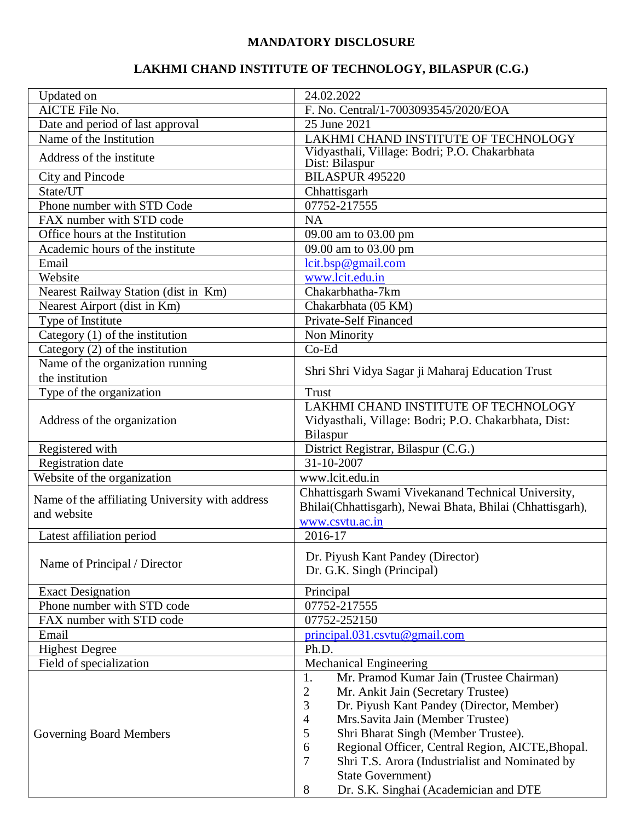## **MANDATORY DISCLOSURE**

## **LAKHMI CHAND INSTITUTE OF TECHNOLOGY, BILASPUR (C.G.)**

| Updated on                                             | 24.02.2022                                                        |  |
|--------------------------------------------------------|-------------------------------------------------------------------|--|
| AICTE File No.                                         | F. No. Central/1-7003093545/2020/EOA                              |  |
| Date and period of last approval                       | 25 June 2021                                                      |  |
| Name of the Institution                                | LAKHMI CHAND INSTITUTE OF TECHNOLOGY                              |  |
| Address of the institute                               | Vidyasthali, Village: Bodri; P.O. Chakarbhata<br>Dist: Bilaspur   |  |
| City and Pincode                                       | <b>BILASPUR 495220</b>                                            |  |
| State/UT                                               | Chhattisgarh                                                      |  |
| Phone number with STD Code                             | 07752-217555                                                      |  |
| FAX number with STD code                               | <b>NA</b>                                                         |  |
| Office hours at the Institution                        | 09.00 am to 03.00 pm                                              |  |
| Academic hours of the institute                        | 09.00 am to 03.00 pm                                              |  |
| Email                                                  | lcit.bsp@gmail.com                                                |  |
| Website                                                | www.lcit.edu.in                                                   |  |
|                                                        | Chakarbhatha-7km                                                  |  |
| Nearest Railway Station (dist in Km)                   |                                                                   |  |
| Nearest Airport (dist in Km)                           | Chakarbhata (05 KM)                                               |  |
| Type of Institute                                      | <b>Private-Self Financed</b>                                      |  |
| Category (1) of the institution                        | Non Minority                                                      |  |
| $\overline{\text{Categorical}}$ (2) of the institution | $Co-Ed$                                                           |  |
| Name of the organization running                       | Shri Shri Vidya Sagar ji Maharaj Education Trust                  |  |
| the institution                                        |                                                                   |  |
| Type of the organization                               | <b>Trust</b>                                                      |  |
|                                                        | LAKHMI CHAND INSTITUTE OF TECHNOLOGY                              |  |
| Address of the organization                            | Vidyasthali, Village: Bodri; P.O. Chakarbhata, Dist:              |  |
|                                                        | Bilaspur                                                          |  |
| Registered with                                        | District Registrar, Bilaspur (C.G.)                               |  |
| <b>Registration</b> date                               | 31-10-2007                                                        |  |
| Website of the organization                            | www.lcit.edu.in                                                   |  |
| Name of the affiliating University with address        | Chhattisgarh Swami Vivekanand Technical University,               |  |
| and website                                            | Bhilai(Chhattisgarh), Newai Bhata, Bhilai (Chhattisgarh),         |  |
|                                                        | www.csvtu.ac.in                                                   |  |
| Latest affiliation period                              | 2016-17                                                           |  |
|                                                        | Dr. Piyush Kant Pandey (Director)                                 |  |
| Name of Principal / Director                           | Dr. G.K. Singh (Principal)                                        |  |
|                                                        |                                                                   |  |
| <b>Exact Designation</b>                               | Principal                                                         |  |
| Phone number with STD code                             | 07752-217555                                                      |  |
| FAX number with STD code                               | 07752-252150                                                      |  |
| Email                                                  | principal.031.csvtu@gmail.com                                     |  |
| <b>Highest Degree</b>                                  | Ph.D.                                                             |  |
| Field of specialization                                | <b>Mechanical Engineering</b>                                     |  |
|                                                        | Mr. Pramod Kumar Jain (Trustee Chairman)<br>1.                    |  |
|                                                        | $\overline{c}$<br>Mr. Ankit Jain (Secretary Trustee)              |  |
|                                                        | 3<br>Dr. Piyush Kant Pandey (Director, Member)                    |  |
|                                                        | $\overline{4}$<br>Mrs. Savita Jain (Member Trustee)               |  |
| Governing Board Members                                | 5<br>Shri Bharat Singh (Member Trustee).                          |  |
|                                                        | Regional Officer, Central Region, AICTE, Bhopal.<br>6             |  |
|                                                        | $\overline{7}$<br>Shri T.S. Arora (Industrialist and Nominated by |  |
|                                                        | <b>State Government)</b>                                          |  |
|                                                        | 8<br>Dr. S.K. Singhai (Academician and DTE                        |  |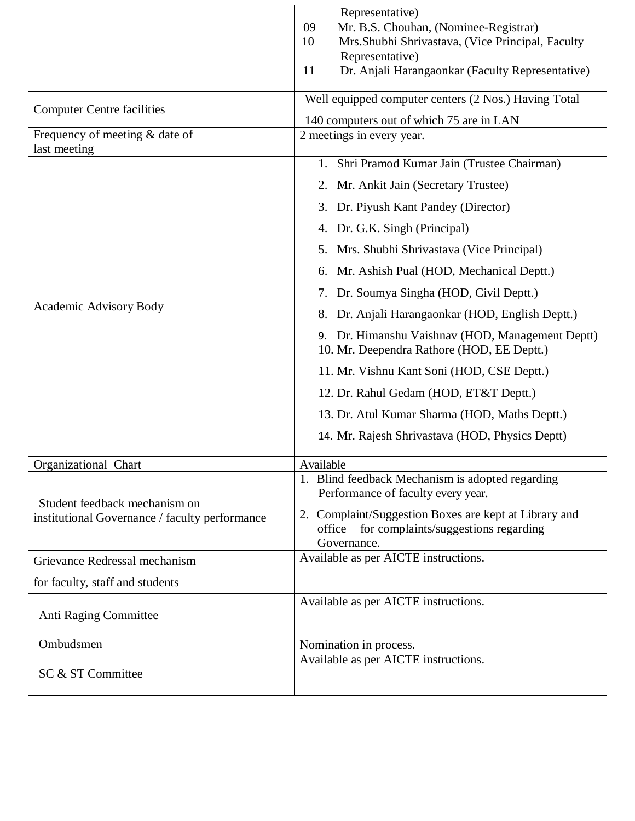|                                                                                 | Representative)                                                                                                        |  |  |
|---------------------------------------------------------------------------------|------------------------------------------------------------------------------------------------------------------------|--|--|
|                                                                                 | Mr. B.S. Chouhan, (Nominee-Registrar)<br>09<br>Mrs. Shubhi Shrivastava, (Vice Principal, Faculty<br>10                 |  |  |
|                                                                                 | Representative)                                                                                                        |  |  |
|                                                                                 | Dr. Anjali Harangaonkar (Faculty Representative)<br>11                                                                 |  |  |
| <b>Computer Centre facilities</b>                                               | Well equipped computer centers (2 Nos.) Having Total                                                                   |  |  |
|                                                                                 | 140 computers out of which 75 are in LAN                                                                               |  |  |
| Frequency of meeting & date of<br>last meeting                                  | 2 meetings in every year.                                                                                              |  |  |
|                                                                                 | 1. Shri Pramod Kumar Jain (Trustee Chairman)                                                                           |  |  |
|                                                                                 | 2. Mr. Ankit Jain (Secretary Trustee)                                                                                  |  |  |
|                                                                                 | Dr. Piyush Kant Pandey (Director)<br>3.                                                                                |  |  |
|                                                                                 | Dr. G.K. Singh (Principal)<br>4.                                                                                       |  |  |
|                                                                                 | Mrs. Shubhi Shrivastava (Vice Principal)<br>5.                                                                         |  |  |
|                                                                                 | Mr. Ashish Pual (HOD, Mechanical Deptt.)<br>6.                                                                         |  |  |
|                                                                                 | 7. Dr. Soumya Singha (HOD, Civil Deptt.)                                                                               |  |  |
| Academic Advisory Body                                                          | Dr. Anjali Harangaonkar (HOD, English Deptt.)<br>8.                                                                    |  |  |
|                                                                                 | Dr. Himanshu Vaishnav (HOD, Management Deptt)<br>9.<br>10. Mr. Deependra Rathore (HOD, EE Deptt.)                      |  |  |
|                                                                                 | 11. Mr. Vishnu Kant Soni (HOD, CSE Deptt.)                                                                             |  |  |
|                                                                                 | 12. Dr. Rahul Gedam (HOD, ET&T Deptt.)                                                                                 |  |  |
|                                                                                 | 13. Dr. Atul Kumar Sharma (HOD, Maths Deptt.)                                                                          |  |  |
|                                                                                 | 14. Mr. Rajesh Shrivastava (HOD, Physics Deptt)                                                                        |  |  |
| Organizational Chart                                                            | Available                                                                                                              |  |  |
|                                                                                 | 1. Blind feedback Mechanism is adopted regarding<br>Performance of faculty every year.                                 |  |  |
| Student feedback mechanism on<br>institutional Governance / faculty performance | 2. Complaint/Suggestion Boxes are kept at Library and<br>for complaints/suggestions regarding<br>office<br>Governance. |  |  |
| Grievance Redressal mechanism                                                   | Available as per AICTE instructions.                                                                                   |  |  |
| for faculty, staff and students                                                 |                                                                                                                        |  |  |
| Anti Raging Committee                                                           | Available as per AICTE instructions.                                                                                   |  |  |
| Ombudsmen                                                                       | Nomination in process.                                                                                                 |  |  |
| SC & ST Committee                                                               | Available as per AICTE instructions.                                                                                   |  |  |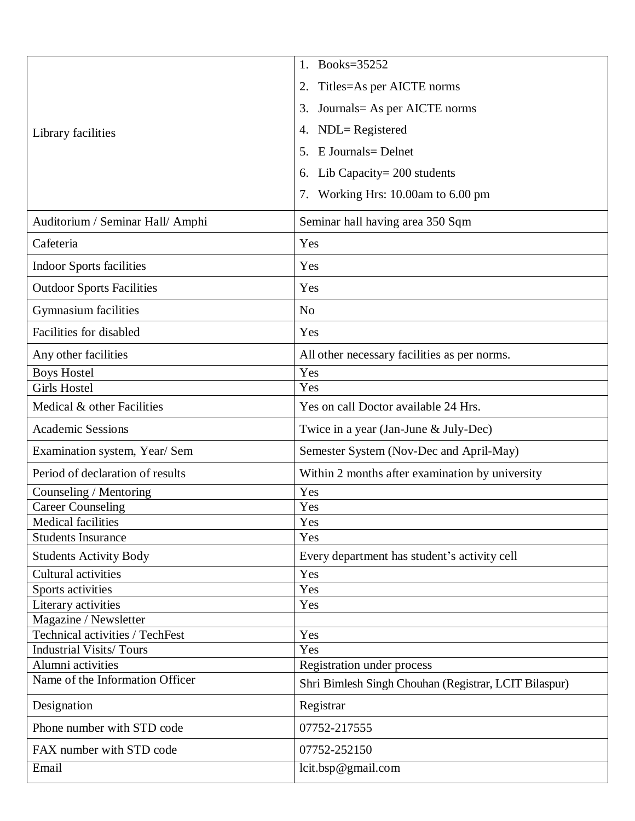|                                   | Books=35252<br>1.                                     |  |  |
|-----------------------------------|-------------------------------------------------------|--|--|
|                                   | Titles=As per AICTE norms<br>2.                       |  |  |
|                                   | Journals = As per AICTE norms<br>3.                   |  |  |
|                                   | $NDL = Registered$                                    |  |  |
| Library facilities                | 4.                                                    |  |  |
|                                   | E Journals = Delnet<br>5.                             |  |  |
|                                   | Lib Capacity = $200$ students<br>6.                   |  |  |
|                                   | Working Hrs: 10.00am to 6.00 pm<br>7.                 |  |  |
| Auditorium / Seminar Hall/ Amphi  | Seminar hall having area 350 Sqm                      |  |  |
| Cafeteria                         | Yes                                                   |  |  |
| <b>Indoor Sports facilities</b>   | Yes                                                   |  |  |
| <b>Outdoor Sports Facilities</b>  | Yes                                                   |  |  |
| Gymnasium facilities              | N <sub>o</sub>                                        |  |  |
| Facilities for disabled           | Yes                                                   |  |  |
| Any other facilities              | All other necessary facilities as per norms.          |  |  |
| <b>Boys Hostel</b>                | Yes                                                   |  |  |
| <b>Girls Hostel</b>               | Yes                                                   |  |  |
| Medical & other Facilities        | Yes on call Doctor available 24 Hrs.                  |  |  |
|                                   |                                                       |  |  |
| <b>Academic Sessions</b>          | Twice in a year (Jan-June & July-Dec)                 |  |  |
| Examination system, Year/ Sem     | Semester System (Nov-Dec and April-May)               |  |  |
| Period of declaration of results  | Within 2 months after examination by university       |  |  |
| Counseling / Mentoring            | Yes                                                   |  |  |
| <b>Career Counseling</b>          | Yes                                                   |  |  |
| <b>Medical facilities</b>         | Yes                                                   |  |  |
| <b>Students Insurance</b>         | Yes                                                   |  |  |
| <b>Students Activity Body</b>     | Every department has student's activity cell          |  |  |
| Cultural activities               | Yes                                                   |  |  |
| Sports activities                 | Yes                                                   |  |  |
| Literary activities               | Yes                                                   |  |  |
| Magazine / Newsletter             |                                                       |  |  |
| Technical activities / TechFest   | Yes                                                   |  |  |
| <b>Industrial Visits/Tours</b>    | Yes                                                   |  |  |
| Alumni activities                 | <b>Registration under process</b>                     |  |  |
| Name of the Information Officer   | Shri Bimlesh Singh Chouhan (Registrar, LCIT Bilaspur) |  |  |
| Designation                       | Registrar                                             |  |  |
| Phone number with STD code        | 07752-217555                                          |  |  |
| FAX number with STD code<br>Email | 07752-252150<br>lcit.bsp@gmail.com                    |  |  |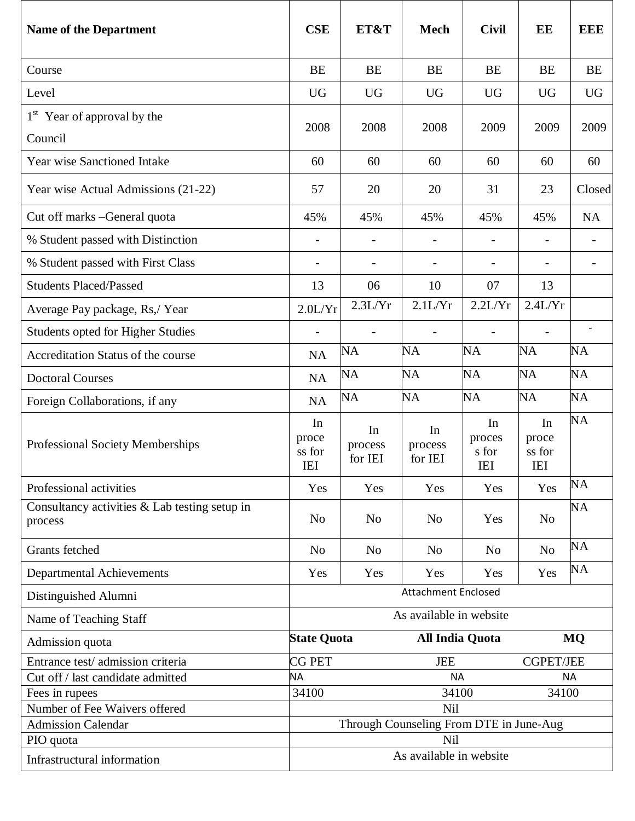| <b>Name of the Department</b>                            | <b>CSE</b>                                                | ET&T                     | <b>Mech</b>              | <b>Civil</b>                        | EE                                  | <b>EEE</b> |
|----------------------------------------------------------|-----------------------------------------------------------|--------------------------|--------------------------|-------------------------------------|-------------------------------------|------------|
| Course                                                   | <b>BE</b>                                                 | <b>BE</b>                | <b>BE</b>                | <b>BE</b>                           | <b>BE</b>                           | <b>BE</b>  |
| Level                                                    | <b>UG</b>                                                 | <b>UG</b>                | <b>UG</b>                | <b>UG</b>                           | <b>UG</b>                           | <b>UG</b>  |
| 1 <sup>st</sup> Year of approval by the<br>Council       | 2008                                                      | 2008                     | 2008                     | 2009                                | 2009                                | 2009       |
| <b>Year wise Sanctioned Intake</b>                       | 60                                                        | 60                       | 60                       | 60                                  | 60                                  | 60         |
| Year wise Actual Admissions (21-22)                      | 57                                                        | 20                       | 20                       | 31                                  | 23                                  | Closed     |
| Cut off marks - General quota                            | 45%                                                       | 45%                      | 45%                      | 45%                                 | 45%                                 | <b>NA</b>  |
| % Student passed with Distinction                        |                                                           |                          |                          |                                     |                                     |            |
| % Student passed with First Class                        |                                                           |                          |                          |                                     | $\overline{\phantom{a}}$            |            |
| <b>Students Placed/Passed</b>                            | 13                                                        | 06                       | 10                       | 07                                  | 13                                  |            |
| Average Pay package, Rs,/ Year                           | 2.0L/Yr                                                   | 2.3L/Yr                  | 2.1L/Yr                  | 2.2L/Yr                             | 2.4L/Yr                             |            |
| <b>Students opted for Higher Studies</b>                 |                                                           | $\overline{\phantom{a}}$ |                          | $\overline{\phantom{a}}$            | $\overline{\phantom{a}}$            |            |
| Accreditation Status of the course                       | NA                                                        | <b>NA</b>                | <b>NA</b>                | <b>NA</b>                           | NA                                  | <b>NA</b>  |
| <b>Doctoral Courses</b>                                  | NA                                                        | <b>NA</b>                | <b>NA</b>                | <b>NA</b>                           | NA                                  | <b>NA</b>  |
| Foreign Collaborations, if any                           | NA                                                        | <b>NA</b>                | <b>NA</b>                | NA                                  | NA                                  | <b>NA</b>  |
| <b>Professional Society Memberships</b>                  | In<br>proce<br>ss for<br><b>IEI</b>                       | In<br>process<br>for IEI | In<br>process<br>for IEI | In<br>proces<br>s for<br><b>IEI</b> | In<br>proce<br>ss for<br><b>IEI</b> | <b>NA</b>  |
| Professional activities                                  | Yes                                                       | Yes                      | Yes                      | Yes                                 | Yes                                 | <b>NA</b>  |
| Consultancy activities & Lab testing setup in<br>process | N <sub>o</sub>                                            | N <sub>o</sub>           | N <sub>o</sub>           | Yes                                 | N <sub>0</sub>                      | <b>NA</b>  |
| <b>Grants</b> fetched                                    | N <sub>o</sub>                                            | N <sub>o</sub>           | N <sub>o</sub>           | N <sub>0</sub>                      | N <sub>0</sub>                      | <b>NA</b>  |
| <b>Departmental Achievements</b>                         | Yes                                                       | Yes                      | Yes                      | Yes                                 | Yes                                 | NA         |
| Distinguished Alumni                                     | <b>Attachment Enclosed</b>                                |                          |                          |                                     |                                     |            |
| Name of Teaching Staff                                   | As available in website                                   |                          |                          |                                     |                                     |            |
| Admission quota                                          | <b>State Quota</b><br><b>All India Quota</b><br><b>MQ</b> |                          |                          |                                     |                                     |            |
| Entrance test/admission criteria                         | <b>CG PET</b><br><b>JEE</b>                               |                          | <b>CGPET/JEE</b>         |                                     |                                     |            |
| Cut off / last candidate admitted                        | <b>NA</b><br><b>NA</b><br><b>NA</b>                       |                          |                          |                                     |                                     |            |
| Fees in rupees<br>Number of Fee Waivers offered          | 34100<br>34100<br>34100<br>Nil                            |                          |                          |                                     |                                     |            |
| <b>Admission Calendar</b>                                | Through Counseling From DTE in June-Aug                   |                          |                          |                                     |                                     |            |
| PIO quota                                                | Nil                                                       |                          |                          |                                     |                                     |            |
| Infrastructural information                              | As available in website                                   |                          |                          |                                     |                                     |            |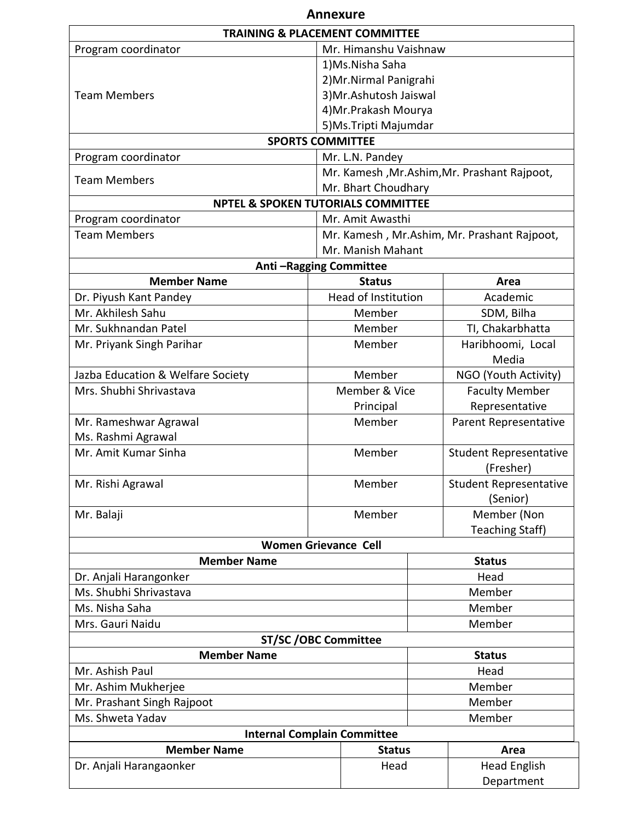| <b>Annexure</b>                               |                         |                               |                                             |  |
|-----------------------------------------------|-------------------------|-------------------------------|---------------------------------------------|--|
| <b>TRAINING &amp; PLACEMENT COMMITTEE</b>     |                         |                               |                                             |  |
| Mr. Himanshu Vaishnaw<br>Program coordinator  |                         |                               |                                             |  |
|                                               | 1)Ms.Nisha Saha         |                               |                                             |  |
|                                               | 2) Mr. Nirmal Panigrahi |                               |                                             |  |
| <b>Team Members</b>                           | 3) Mr. Ashutosh Jaiswal |                               |                                             |  |
|                                               | 4) Mr. Prakash Mourya   |                               |                                             |  |
|                                               |                         | 5) Ms. Tripti Majumdar        |                                             |  |
| <b>SPORTS COMMITTEE</b>                       |                         |                               |                                             |  |
| Program coordinator                           |                         | Mr. L.N. Pandey               |                                             |  |
|                                               |                         |                               | Mr. Kamesh, Mr.Ashim, Mr. Prashant Rajpoot, |  |
| <b>Team Members</b>                           |                         | Mr. Bhart Choudhary           |                                             |  |
| <b>NPTEL &amp; SPOKEN TUTORIALS COMMITTEE</b> |                         |                               |                                             |  |
| Program coordinator                           |                         | Mr. Amit Awasthi              |                                             |  |
| <b>Team Members</b>                           |                         |                               | Mr. Kamesh, Mr.Ashim, Mr. Prashant Rajpoot, |  |
|                                               |                         | Mr. Manish Mahant             |                                             |  |
| Anti-Ragging Committee                        |                         |                               |                                             |  |
| <b>Member Name</b>                            |                         | <b>Status</b>                 | Area                                        |  |
| Dr. Piyush Kant Pandey                        |                         | Head of Institution           | Academic                                    |  |
| Mr. Akhilesh Sahu                             |                         | Member                        | SDM, Bilha                                  |  |
| Mr. Sukhnandan Patel                          |                         | Member                        | TI, Chakarbhatta                            |  |
| Mr. Priyank Singh Parihar                     |                         | Member                        | Haribhoomi, Local                           |  |
|                                               |                         |                               | Media                                       |  |
| Jazba Education & Welfare Society             |                         | Member                        | NGO (Youth Activity)                        |  |
| Mrs. Shubhi Shrivastava                       |                         | Member & Vice                 | <b>Faculty Member</b>                       |  |
|                                               | Principal               |                               | Representative                              |  |
| Mr. Rameshwar Agrawal                         | Member                  |                               | Parent Representative                       |  |
| Ms. Rashmi Agrawal                            |                         |                               |                                             |  |
| Mr. Amit Kumar Sinha<br>Member                |                         |                               | <b>Student Representative</b>               |  |
|                                               | (Fresher)               |                               |                                             |  |
| Mr. Rishi Agrawal<br>Member                   |                         | <b>Student Representative</b> |                                             |  |
|                                               |                         | (Senior)                      |                                             |  |
| Mr. Balaji                                    | Member                  |                               | Member (Non                                 |  |
|                                               |                         |                               | <b>Teaching Staff)</b>                      |  |
| <b>Women Grievance Cell</b>                   |                         |                               |                                             |  |
| <b>Member Name</b><br><b>Status</b>           |                         |                               |                                             |  |
| Dr. Anjali Harangonker                        |                         |                               | Head                                        |  |
| Ms. Shubhi Shrivastava                        |                         |                               | Member                                      |  |
| Ms. Nisha Saha                                |                         |                               | Member                                      |  |
| Mrs. Gauri Naidu                              |                         |                               | Member                                      |  |
| <b>ST/SC/OBC Committee</b>                    |                         |                               |                                             |  |
| <b>Member Name</b><br><b>Status</b>           |                         |                               |                                             |  |
| Mr. Ashish Paul                               |                         |                               | Head                                        |  |
| Mr. Ashim Mukherjee<br>Member                 |                         |                               |                                             |  |
| Mr. Prashant Singh Rajpoot                    |                         |                               | Member                                      |  |
| Ms. Shweta Yadav<br>Member                    |                         |                               |                                             |  |
| <b>Internal Complain Committee</b>            |                         |                               |                                             |  |
| <b>Member Name</b><br><b>Status</b>           |                         |                               | Area                                        |  |
| Dr. Anjali Harangaonker                       |                         | Head                          | <b>Head English</b>                         |  |
|                                               |                         |                               | Department                                  |  |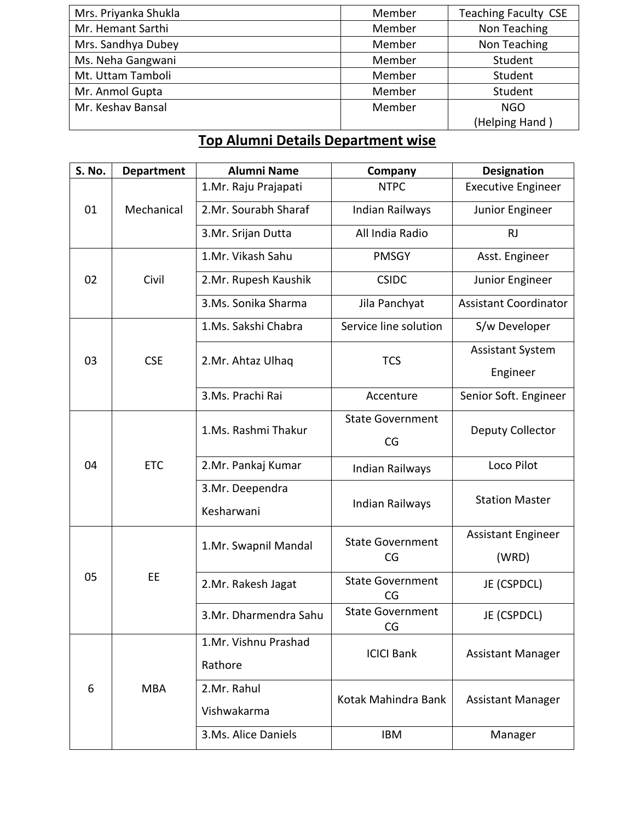| Mrs. Priyanka Shukla | Member                 | <b>Teaching Faculty CSE</b> |
|----------------------|------------------------|-----------------------------|
| Mr. Hemant Sarthi    | Member                 | Non Teaching                |
| Mrs. Sandhya Dubey   | Non Teaching<br>Member |                             |
| Ms. Neha Gangwani    | Member                 | Student                     |
| Mt. Uttam Tamboli    | Member                 | Student                     |
| Mr. Anmol Gupta      | Member                 | Student                     |
| Mr. Keshav Bansal    | Member                 | <b>NGO</b>                  |
|                      |                        | (Helping Hand)              |

## **Top Alumni Details Department wise**

| S. No.           | <b>Department</b>         | <b>Alumni Name</b>                    | <b>Company</b>                 | <b>Designation</b>           |
|------------------|---------------------------|---------------------------------------|--------------------------------|------------------------------|
|                  | 1.Mr. Raju Prajapati      |                                       | <b>NTPC</b>                    | <b>Executive Engineer</b>    |
| 01<br>Mechanical |                           | 2.Mr. Sourabh Sharaf                  | Indian Railways                |                              |
|                  |                           | All India Radio<br>3.Mr. Srijan Dutta |                                | <b>RJ</b>                    |
|                  |                           | 1.Mr. Vikash Sahu                     | <b>PMSGY</b>                   | Asst. Engineer               |
| 02               | Civil                     | 2.Mr. Rupesh Kaushik                  | <b>CSIDC</b>                   | Junior Engineer              |
|                  |                           | 3.Ms. Sonika Sharma                   | Jila Panchyat                  | <b>Assistant Coordinator</b> |
|                  |                           | 1.Ms. Sakshi Chabra                   | Service line solution          | S/w Developer                |
|                  |                           |                                       |                                | <b>Assistant System</b>      |
| 03               | <b>CSE</b>                | 2.Mr. Ahtaz Ulhaq                     | <b>TCS</b>                     | Engineer                     |
|                  |                           | 3.Ms. Prachi Rai                      | Accenture                      | Senior Soft. Engineer        |
|                  |                           |                                       | <b>State Government</b>        |                              |
|                  |                           | 1.Ms. Rashmi Thakur                   | CG                             | Deputy Collector             |
| 04               | <b>ETC</b>                | 2.Mr. Pankaj Kumar                    | Indian Railways                | Loco Pilot                   |
|                  |                           | 3.Mr. Deependra                       |                                | <b>Station Master</b>        |
|                  | Kesharwani                |                                       | Indian Railways                |                              |
|                  |                           | 1.Mr. Swapnil Mandal                  | <b>State Government</b>        | <b>Assistant Engineer</b>    |
|                  |                           |                                       | CG                             | (WRD)                        |
| 05               | EE                        | 2.Mr. Rakesh Jagat                    | <b>State Government</b><br>CG  | JE (CSPDCL)                  |
|                  |                           | 3.Mr. Dharmendra Sahu                 | <b>State Government</b><br>CG. | JE (CSPDCL)                  |
|                  |                           | 1.Mr. Vishnu Prashad                  | <b>ICICI Bank</b>              |                              |
|                  | Rathore                   |                                       |                                | <b>Assistant Manager</b>     |
| 6                | <b>MBA</b><br>2.Mr. Rahul |                                       |                                |                              |
|                  |                           | Vishwakarma                           | Kotak Mahindra Bank            | <b>Assistant Manager</b>     |
|                  |                           | 3.Ms. Alice Daniels                   | <b>IBM</b>                     | Manager                      |